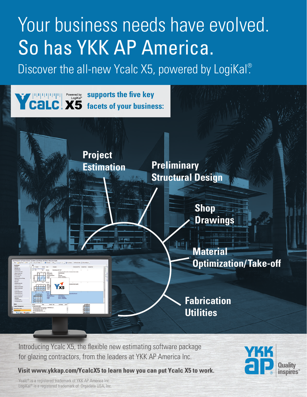# Your business needs have evolved. So has YKK AP America.

Discover the all-new Ycalc X5, powered by LogiKal®

**supports the five key facets of your business:**

> **Project Estimation Preliminary Structural Design**

> > **Shop Drawings**

at ne

**Material Optimization/Take-off**

**Fabrication Utilities**

Introducing Ycalc X5, the flexible new estimating software package for glazing contractors, from the leaders at YKK AP America Inc.

**Visit [www.ykkap.com/YcalcX5](https://www.ykkap.com/commercial/tools/ycalc-x5/) to learn how you can put Ycalc X5 to work.**

Ycalc<sup>®</sup> is a registered trademark of YKK AP America Inc. LogiKal® is a registered trademark of Orgadata USA, Inc.

 $x<sub>5</sub>$ 

**THE**